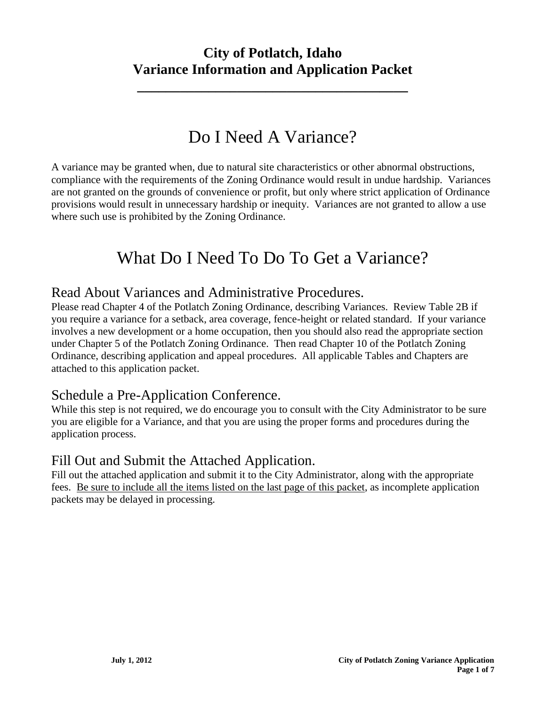**\_\_\_\_\_\_\_\_\_\_\_\_\_\_\_\_\_\_\_\_\_\_\_\_\_\_\_\_\_\_\_\_\_\_\_\_\_\_**

# Do I Need A Variance?

A variance may be granted when, due to natural site characteristics or other abnormal obstructions, compliance with the requirements of the Zoning Ordinance would result in undue hardship. Variances are not granted on the grounds of convenience or profit, but only where strict application of Ordinance provisions would result in unnecessary hardship or inequity. Variances are not granted to allow a use where such use is prohibited by the Zoning Ordinance.

# What Do I Need To Do To Get a Variance?

## Read About Variances and Administrative Procedures.

Please read Chapter 4 of the Potlatch Zoning Ordinance, describing Variances. Review Table 2B if you require a variance for a setback, area coverage, fence-height or related standard. If your variance involves a new development or a home occupation, then you should also read the appropriate section under Chapter 5 of the Potlatch Zoning Ordinance. Then read Chapter 10 of the Potlatch Zoning Ordinance, describing application and appeal procedures. All applicable Tables and Chapters are attached to this application packet.

## Schedule a Pre-Application Conference.

While this step is not required, we do encourage you to consult with the City Administrator to be sure you are eligible for a Variance, and that you are using the proper forms and procedures during the application process.

## Fill Out and Submit the Attached Application.

Fill out the attached application and submit it to the City Administrator, along with the appropriate fees. Be sure to include all the items listed on the last page of this packet, as incomplete application packets may be delayed in processing.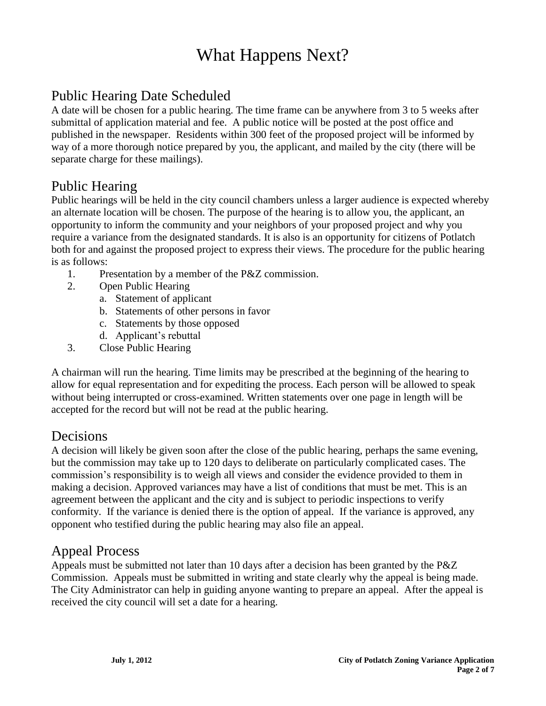# What Happens Next?

## Public Hearing Date Scheduled

A date will be chosen for a public hearing. The time frame can be anywhere from 3 to 5 weeks after submittal of application material and fee. A public notice will be posted at the post office and published in the newspaper. Residents within 300 feet of the proposed project will be informed by way of a more thorough notice prepared by you, the applicant, and mailed by the city (there will be separate charge for these mailings).

## Public Hearing

Public hearings will be held in the city council chambers unless a larger audience is expected whereby an alternate location will be chosen. The purpose of the hearing is to allow you, the applicant, an opportunity to inform the community and your neighbors of your proposed project and why you require a variance from the designated standards. It is also is an opportunity for citizens of Potlatch both for and against the proposed project to express their views. The procedure for the public hearing is as follows:

- 1. Presentation by a member of the P&Z commission.
- 2. Open Public Hearing
	- a. Statement of applicant
	- b. Statements of other persons in favor
	- c. Statements by those opposed
	- d. Applicant's rebuttal
- 3. Close Public Hearing

A chairman will run the hearing. Time limits may be prescribed at the beginning of the hearing to allow for equal representation and for expediting the process. Each person will be allowed to speak without being interrupted or cross-examined. Written statements over one page in length will be accepted for the record but will not be read at the public hearing.

## Decisions

A decision will likely be given soon after the close of the public hearing, perhaps the same evening, but the commission may take up to 120 days to deliberate on particularly complicated cases. The commission's responsibility is to weigh all views and consider the evidence provided to them in making a decision. Approved variances may have a list of conditions that must be met. This is an agreement between the applicant and the city and is subject to periodic inspections to verify conformity. If the variance is denied there is the option of appeal. If the variance is approved, any opponent who testified during the public hearing may also file an appeal.

## Appeal Process

Appeals must be submitted not later than 10 days after a decision has been granted by the P&Z Commission. Appeals must be submitted in writing and state clearly why the appeal is being made. The City Administrator can help in guiding anyone wanting to prepare an appeal. After the appeal is received the city council will set a date for a hearing.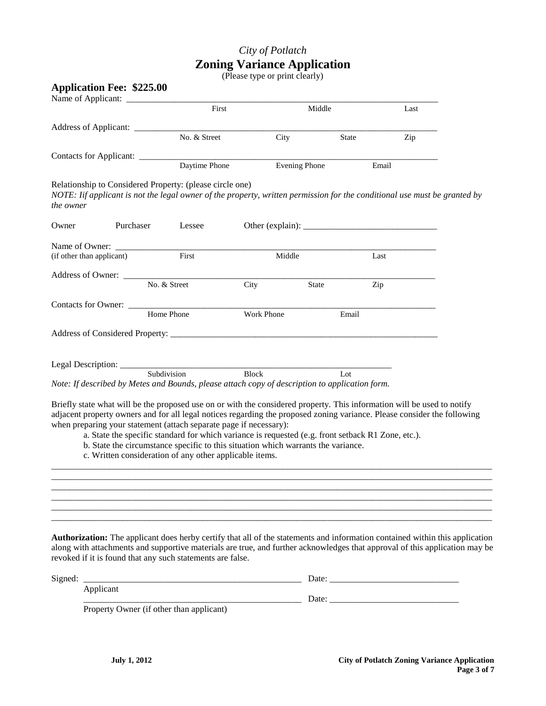## *City of Potlatch* **Zoning Variance Application**

(Please type or print clearly)

|                                 |                           |                                                                                                    |            | Middle               | Last                                                                                                                      |  |
|---------------------------------|---------------------------|----------------------------------------------------------------------------------------------------|------------|----------------------|---------------------------------------------------------------------------------------------------------------------------|--|
|                                 |                           |                                                                                                    |            |                      |                                                                                                                           |  |
|                                 |                           | No. & Street                                                                                       | City       | <b>State</b>         | Zip                                                                                                                       |  |
| Contacts for Applicant: _______ |                           |                                                                                                    |            |                      |                                                                                                                           |  |
|                                 |                           | Daytime Phone                                                                                      |            | <b>Evening Phone</b> | Email                                                                                                                     |  |
| the owner                       |                           | Relationship to Considered Property: (please circle one)                                           |            |                      | NOTE: Iif applicant is not the legal owner of the property, written permission for the conditional use must be granted by |  |
| Owner                           | Purchaser                 | Lessee                                                                                             |            |                      |                                                                                                                           |  |
|                                 |                           | First                                                                                              |            |                      |                                                                                                                           |  |
|                                 | (if other than applicant) |                                                                                                    | Middle     |                      | Last                                                                                                                      |  |
|                                 |                           |                                                                                                    |            |                      |                                                                                                                           |  |
|                                 |                           | No. & Street                                                                                       | City       | State                | Zip                                                                                                                       |  |
|                                 |                           | Contacts for Owner: _____________<br>Home Phone                                                    |            |                      |                                                                                                                           |  |
|                                 |                           |                                                                                                    | Work Phone | Email                |                                                                                                                           |  |
|                                 |                           |                                                                                                    |            |                      |                                                                                                                           |  |
|                                 |                           |                                                                                                    |            |                      |                                                                                                                           |  |
|                                 |                           | Legal Description: Subdivision Block                                                               |            |                      |                                                                                                                           |  |
|                                 |                           | Note: If described by Metes and Bounds, please attach copy of description to application form.     |            | Lot                  |                                                                                                                           |  |
|                                 |                           |                                                                                                    |            |                      |                                                                                                                           |  |
|                                 |                           |                                                                                                    |            |                      | Briefly state what will be the proposed use on or with the considered property. This information will be used to notify   |  |
|                                 |                           | when preparing your statement (attach separate page if necessary):                                 |            |                      | adjacent property owners and for all legal notices regarding the proposed zoning variance. Please consider the following  |  |
|                                 |                           | a. State the specific standard for which variance is requested (e.g. front setback R1 Zone, etc.). |            |                      |                                                                                                                           |  |
|                                 |                           | b. State the circumstance specific to this situation which warrants the variance.                  |            |                      |                                                                                                                           |  |
|                                 |                           | c. Written consideration of any other applicable items.                                            |            |                      |                                                                                                                           |  |

**Authorization:** The applicant does herby certify that all of the statements and information contained within this application along with attachments and supportive materials are true, and further acknowledges that approval of this application may be revoked if it is found that any such statements are false.

\_\_\_\_\_\_\_\_\_\_\_\_\_\_\_\_\_\_\_\_\_\_\_\_\_\_\_\_\_\_\_\_\_\_\_\_\_\_\_\_\_\_\_\_\_\_\_\_\_\_\_\_\_\_\_\_\_\_\_\_\_\_\_\_\_\_\_\_\_\_\_\_\_\_\_\_\_\_\_\_\_\_\_\_\_\_\_\_\_\_\_\_\_\_\_\_\_\_\_ \_\_\_\_\_\_\_\_\_\_\_\_\_\_\_\_\_\_\_\_\_\_\_\_\_\_\_\_\_\_\_\_\_\_\_\_\_\_\_\_\_\_\_\_\_\_\_\_\_\_\_\_\_\_\_\_\_\_\_\_\_\_\_\_\_\_\_\_\_\_\_\_\_\_\_\_\_\_\_\_\_\_\_\_\_\_\_\_\_\_\_\_\_\_\_\_\_\_\_ \_\_\_\_\_\_\_\_\_\_\_\_\_\_\_\_\_\_\_\_\_\_\_\_\_\_\_\_\_\_\_\_\_\_\_\_\_\_\_\_\_\_\_\_\_\_\_\_\_\_\_\_\_\_\_\_\_\_\_\_\_\_\_\_\_\_\_\_\_\_\_\_\_\_\_\_\_\_\_\_\_\_\_\_\_\_\_\_\_\_\_\_\_\_\_\_\_\_\_

| Signed: |                                          | Date. |
|---------|------------------------------------------|-------|
|         | Applicant                                |       |
|         |                                          | Date: |
|         | Property Owner (if other than applicant) |       |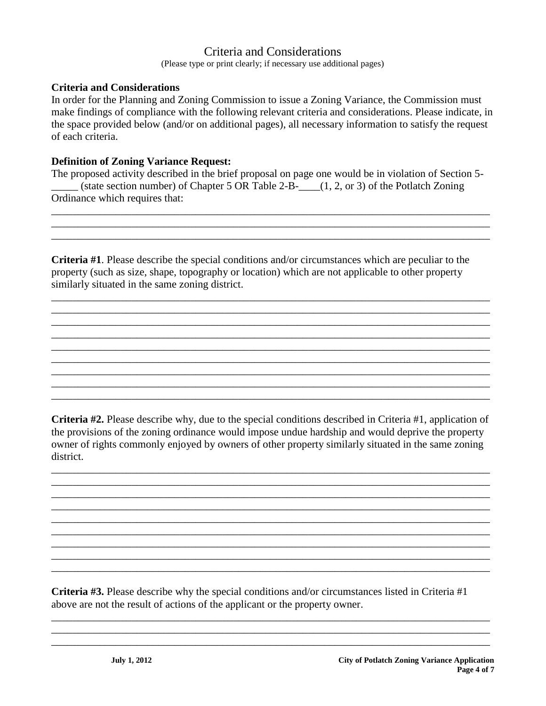### Criteria and Considerations

(Please type or print clearly; if necessary use additional pages)

#### **Criteria and Considerations**

In order for the Planning and Zoning Commission to issue a Zoning Variance, the Commission must make findings of compliance with the following relevant criteria and considerations. Please indicate, in the space provided below (and/or on additional pages), all necessary information to satisfy the request of each criteria.

#### **Definition of Zoning Variance Request:**

The proposed activity described in the brief proposal on page one would be in violation of Section 5-  $\Box$  (state section number) of Chapter 5 OR Table 2-B- $\Box$  (1, 2, or 3) of the Potlatch Zoning Ordinance which requires that:

\_\_\_\_\_\_\_\_\_\_\_\_\_\_\_\_\_\_\_\_\_\_\_\_\_\_\_\_\_\_\_\_\_\_\_\_\_\_\_\_\_\_\_\_\_\_\_\_\_\_\_\_\_\_\_\_\_\_\_\_\_\_\_\_\_\_\_\_\_\_\_\_\_\_\_\_\_\_\_\_\_\_ \_\_\_\_\_\_\_\_\_\_\_\_\_\_\_\_\_\_\_\_\_\_\_\_\_\_\_\_\_\_\_\_\_\_\_\_\_\_\_\_\_\_\_\_\_\_\_\_\_\_\_\_\_\_\_\_\_\_\_\_\_\_\_\_\_\_\_\_\_\_\_\_\_\_\_\_\_\_\_\_\_\_ \_\_\_\_\_\_\_\_\_\_\_\_\_\_\_\_\_\_\_\_\_\_\_\_\_\_\_\_\_\_\_\_\_\_\_\_\_\_\_\_\_\_\_\_\_\_\_\_\_\_\_\_\_\_\_\_\_\_\_\_\_\_\_\_\_\_\_\_\_\_\_\_\_\_\_\_\_\_\_\_\_\_

**Criteria #1**. Please describe the special conditions and/or circumstances which are peculiar to the property (such as size, shape, topography or location) which are not applicable to other property similarly situated in the same zoning district.

\_\_\_\_\_\_\_\_\_\_\_\_\_\_\_\_\_\_\_\_\_\_\_\_\_\_\_\_\_\_\_\_\_\_\_\_\_\_\_\_\_\_\_\_\_\_\_\_\_\_\_\_\_\_\_\_\_\_\_\_\_\_\_\_\_\_\_\_\_\_\_\_\_\_\_\_\_\_\_\_\_\_ \_\_\_\_\_\_\_\_\_\_\_\_\_\_\_\_\_\_\_\_\_\_\_\_\_\_\_\_\_\_\_\_\_\_\_\_\_\_\_\_\_\_\_\_\_\_\_\_\_\_\_\_\_\_\_\_\_\_\_\_\_\_\_\_\_\_\_\_\_\_\_\_\_\_\_\_\_\_\_\_\_\_ \_\_\_\_\_\_\_\_\_\_\_\_\_\_\_\_\_\_\_\_\_\_\_\_\_\_\_\_\_\_\_\_\_\_\_\_\_\_\_\_\_\_\_\_\_\_\_\_\_\_\_\_\_\_\_\_\_\_\_\_\_\_\_\_\_\_\_\_\_\_\_\_\_\_\_\_\_\_\_\_\_\_ \_\_\_\_\_\_\_\_\_\_\_\_\_\_\_\_\_\_\_\_\_\_\_\_\_\_\_\_\_\_\_\_\_\_\_\_\_\_\_\_\_\_\_\_\_\_\_\_\_\_\_\_\_\_\_\_\_\_\_\_\_\_\_\_\_\_\_\_\_\_\_\_\_\_\_\_\_\_\_\_\_\_ \_\_\_\_\_\_\_\_\_\_\_\_\_\_\_\_\_\_\_\_\_\_\_\_\_\_\_\_\_\_\_\_\_\_\_\_\_\_\_\_\_\_\_\_\_\_\_\_\_\_\_\_\_\_\_\_\_\_\_\_\_\_\_\_\_\_\_\_\_\_\_\_\_\_\_\_\_\_\_\_\_\_ \_\_\_\_\_\_\_\_\_\_\_\_\_\_\_\_\_\_\_\_\_\_\_\_\_\_\_\_\_\_\_\_\_\_\_\_\_\_\_\_\_\_\_\_\_\_\_\_\_\_\_\_\_\_\_\_\_\_\_\_\_\_\_\_\_\_\_\_\_\_\_\_\_\_\_\_\_\_\_\_\_\_ \_\_\_\_\_\_\_\_\_\_\_\_\_\_\_\_\_\_\_\_\_\_\_\_\_\_\_\_\_\_\_\_\_\_\_\_\_\_\_\_\_\_\_\_\_\_\_\_\_\_\_\_\_\_\_\_\_\_\_\_\_\_\_\_\_\_\_\_\_\_\_\_\_\_\_\_\_\_\_\_\_\_ \_\_\_\_\_\_\_\_\_\_\_\_\_\_\_\_\_\_\_\_\_\_\_\_\_\_\_\_\_\_\_\_\_\_\_\_\_\_\_\_\_\_\_\_\_\_\_\_\_\_\_\_\_\_\_\_\_\_\_\_\_\_\_\_\_\_\_\_\_\_\_\_\_\_\_\_\_\_\_\_\_\_ \_\_\_\_\_\_\_\_\_\_\_\_\_\_\_\_\_\_\_\_\_\_\_\_\_\_\_\_\_\_\_\_\_\_\_\_\_\_\_\_\_\_\_\_\_\_\_\_\_\_\_\_\_\_\_\_\_\_\_\_\_\_\_\_\_\_\_\_\_\_\_\_\_\_\_\_\_\_\_\_\_\_

**Criteria #2.** Please describe why, due to the special conditions described in Criteria #1, application of the provisions of the zoning ordinance would impose undue hardship and would deprive the property owner of rights commonly enjoyed by owners of other property similarly situated in the same zoning district.

\_\_\_\_\_\_\_\_\_\_\_\_\_\_\_\_\_\_\_\_\_\_\_\_\_\_\_\_\_\_\_\_\_\_\_\_\_\_\_\_\_\_\_\_\_\_\_\_\_\_\_\_\_\_\_\_\_\_\_\_\_\_\_\_\_\_\_\_\_\_\_\_\_\_\_\_\_\_\_\_\_\_ \_\_\_\_\_\_\_\_\_\_\_\_\_\_\_\_\_\_\_\_\_\_\_\_\_\_\_\_\_\_\_\_\_\_\_\_\_\_\_\_\_\_\_\_\_\_\_\_\_\_\_\_\_\_\_\_\_\_\_\_\_\_\_\_\_\_\_\_\_\_\_\_\_\_\_\_\_\_\_\_\_\_ \_\_\_\_\_\_\_\_\_\_\_\_\_\_\_\_\_\_\_\_\_\_\_\_\_\_\_\_\_\_\_\_\_\_\_\_\_\_\_\_\_\_\_\_\_\_\_\_\_\_\_\_\_\_\_\_\_\_\_\_\_\_\_\_\_\_\_\_\_\_\_\_\_\_\_\_\_\_\_\_\_\_ \_\_\_\_\_\_\_\_\_\_\_\_\_\_\_\_\_\_\_\_\_\_\_\_\_\_\_\_\_\_\_\_\_\_\_\_\_\_\_\_\_\_\_\_\_\_\_\_\_\_\_\_\_\_\_\_\_\_\_\_\_\_\_\_\_\_\_\_\_\_\_\_\_\_\_\_\_\_\_\_\_\_ \_\_\_\_\_\_\_\_\_\_\_\_\_\_\_\_\_\_\_\_\_\_\_\_\_\_\_\_\_\_\_\_\_\_\_\_\_\_\_\_\_\_\_\_\_\_\_\_\_\_\_\_\_\_\_\_\_\_\_\_\_\_\_\_\_\_\_\_\_\_\_\_\_\_\_\_\_\_\_\_\_\_ \_\_\_\_\_\_\_\_\_\_\_\_\_\_\_\_\_\_\_\_\_\_\_\_\_\_\_\_\_\_\_\_\_\_\_\_\_\_\_\_\_\_\_\_\_\_\_\_\_\_\_\_\_\_\_\_\_\_\_\_\_\_\_\_\_\_\_\_\_\_\_\_\_\_\_\_\_\_\_\_\_\_ \_\_\_\_\_\_\_\_\_\_\_\_\_\_\_\_\_\_\_\_\_\_\_\_\_\_\_\_\_\_\_\_\_\_\_\_\_\_\_\_\_\_\_\_\_\_\_\_\_\_\_\_\_\_\_\_\_\_\_\_\_\_\_\_\_\_\_\_\_\_\_\_\_\_\_\_\_\_\_\_\_\_ \_\_\_\_\_\_\_\_\_\_\_\_\_\_\_\_\_\_\_\_\_\_\_\_\_\_\_\_\_\_\_\_\_\_\_\_\_\_\_\_\_\_\_\_\_\_\_\_\_\_\_\_\_\_\_\_\_\_\_\_\_\_\_\_\_\_\_\_\_\_\_\_\_\_\_\_\_\_\_\_\_\_ \_\_\_\_\_\_\_\_\_\_\_\_\_\_\_\_\_\_\_\_\_\_\_\_\_\_\_\_\_\_\_\_\_\_\_\_\_\_\_\_\_\_\_\_\_\_\_\_\_\_\_\_\_\_\_\_\_\_\_\_\_\_\_\_\_\_\_\_\_\_\_\_\_\_\_\_\_\_\_\_\_\_

**Criteria #3.** Please describe why the special conditions and/or circumstances listed in Criteria #1 above are not the result of actions of the applicant or the property owner.

\_\_\_\_\_\_\_\_\_\_\_\_\_\_\_\_\_\_\_\_\_\_\_\_\_\_\_\_\_\_\_\_\_\_\_\_\_\_\_\_\_\_\_\_\_\_\_\_\_\_\_\_\_\_\_\_\_\_\_\_\_\_\_\_\_\_\_\_\_\_\_\_\_\_\_\_\_\_\_\_\_\_ \_\_\_\_\_\_\_\_\_\_\_\_\_\_\_\_\_\_\_\_\_\_\_\_\_\_\_\_\_\_\_\_\_\_\_\_\_\_\_\_\_\_\_\_\_\_\_\_\_\_\_\_\_\_\_\_\_\_\_\_\_\_\_\_\_\_\_\_\_\_\_\_\_\_\_\_\_\_\_\_\_\_ \_\_\_\_\_\_\_\_\_\_\_\_\_\_\_\_\_\_\_\_\_\_\_\_\_\_\_\_\_\_\_\_\_\_\_\_\_\_\_\_\_\_\_\_\_\_\_\_\_\_\_\_\_\_\_\_\_\_\_\_\_\_\_\_\_\_\_\_\_\_\_\_\_\_\_\_\_\_\_\_\_\_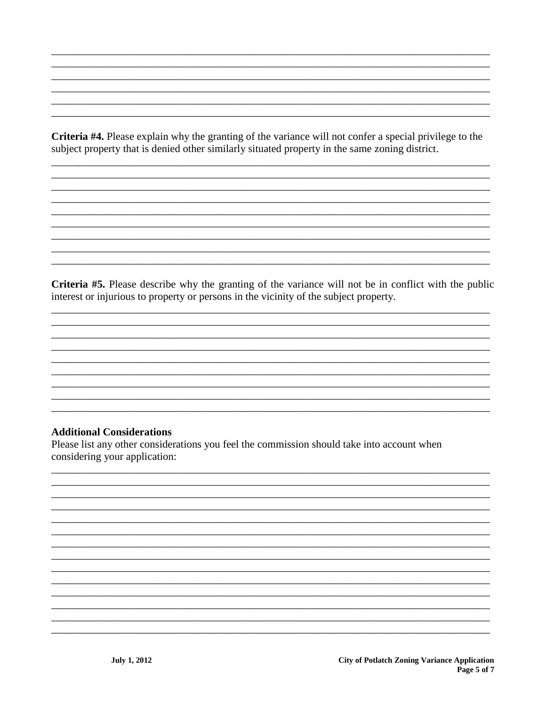Criteria #4. Please explain why the granting of the variance will not confer a special privilege to the subject property that is denied other similarly situated property in the same zoning district.

Criteria #5. Please describe why the granting of the variance will not be in conflict with the public interest or injurious to property or persons in the vicinity of the subject property.

#### **Additional Considerations**

Please list any other considerations you feel the commission should take into account when considering your application: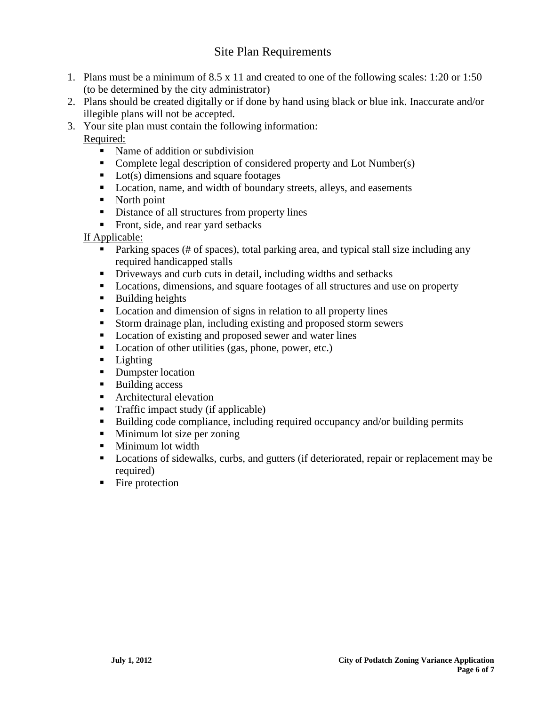### Site Plan Requirements

- 1. Plans must be a minimum of 8.5 x 11 and created to one of the following scales: 1:20 or 1:50 (to be determined by the city administrator)
- 2. Plans should be created digitally or if done by hand using black or blue ink. Inaccurate and/or illegible plans will not be accepted.
- 3. Your site plan must contain the following information:

Required:

- Name of addition or subdivision
- Complete legal description of considered property and Lot Number(s)
- $\blacksquare$  Lot(s) dimensions and square footages
- Location, name, and width of boundary streets, alleys, and easements
- North point
- Distance of all structures from property lines
- Front, side, and rear yard setbacks

#### If Applicable:

- Parking spaces (# of spaces), total parking area, and typical stall size including any required handicapped stalls
- Driveways and curb cuts in detail, including widths and setbacks
- Locations, dimensions, and square footages of all structures and use on property
- **Building heights**
- Location and dimension of signs in relation to all property lines
- Storm drainage plan, including existing and proposed storm sewers
- Location of existing and proposed sewer and water lines
- **Location of other utilities (gas, phone, power, etc.)**
- **Lighting**
- Dumpster location
- Building access
- **Architectural elevation**
- Traffic impact study (if applicable)
- Building code compliance, including required occupancy and/or building permits
- Minimum lot size per zoning
- Minimum lot width
- Locations of sidewalks, curbs, and gutters (if deteriorated, repair or replacement may be required)
- Fire protection